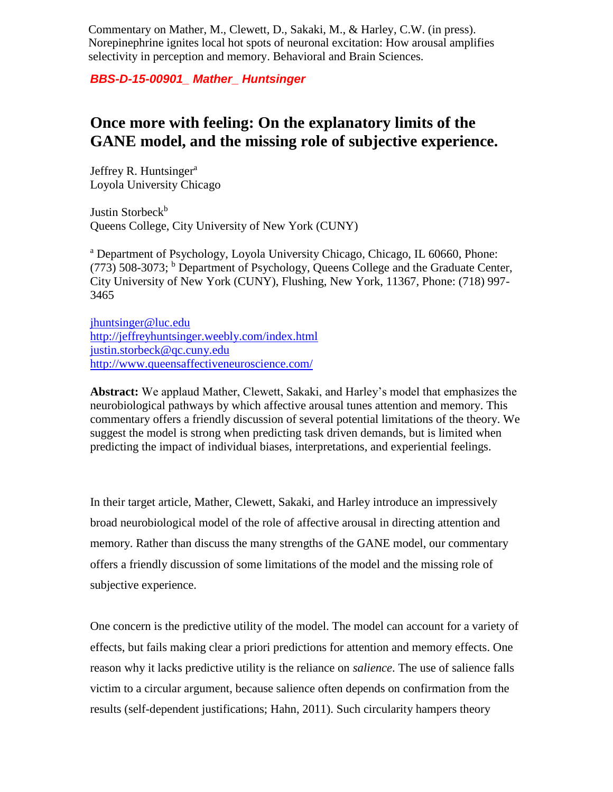Commentary on Mather, M., Clewett, D., Sakaki, M., & Harley, C.W. (in press). Norepinephrine ignites local hot spots of neuronal excitation: How arousal amplifies selectivity in perception and memory. Behavioral and Brain Sciences.

## *BBS-D-15-00901\_ Mather\_ Huntsinger*

## **Once more with feeling: On the explanatory limits of the GANE model, and the missing role of subjective experience.**

Jeffrey R. Huntsinger<sup>a</sup> Loyola University Chicago

Justin Storbeck<sup>b</sup> Queens College, City University of New York (CUNY)

<sup>a</sup> Department of Psychology, Loyola University Chicago, Chicago, IL 60660, Phone:  $(773)$  508-3073; <sup>b</sup> Department of Psychology, Queens College and the Graduate Center, City University of New York (CUNY), Flushing, New York, 11367, Phone: (718) 997- 3465

[jhuntsinger@luc.edu](mailto:jhuntsinger@luc.edu) <http://jeffreyhuntsinger.weebly.com/index.html> [justin.storbeck@qc.cuny.edu](mailto:justin.storbeck@qc.cuny.edu) <http://www.queensaffectiveneuroscience.com/>

**Abstract:** We applaud Mather, Clewett, Sakaki, and Harley's model that emphasizes the neurobiological pathways by which affective arousal tunes attention and memory. This commentary offers a friendly discussion of several potential limitations of the theory. We suggest the model is strong when predicting task driven demands, but is limited when predicting the impact of individual biases, interpretations, and experiential feelings.

In their target article, Mather, Clewett, Sakaki, and Harley introduce an impressively broad neurobiological model of the role of affective arousal in directing attention and memory. Rather than discuss the many strengths of the GANE model, our commentary offers a friendly discussion of some limitations of the model and the missing role of subjective experience.

One concern is the predictive utility of the model. The model can account for a variety of effects, but fails making clear a priori predictions for attention and memory effects. One reason why it lacks predictive utility is the reliance on *salience*. The use of salience falls victim to a circular argument, because salience often depends on confirmation from the results (self-dependent justifications; Hahn, 2011). Such circularity hampers theory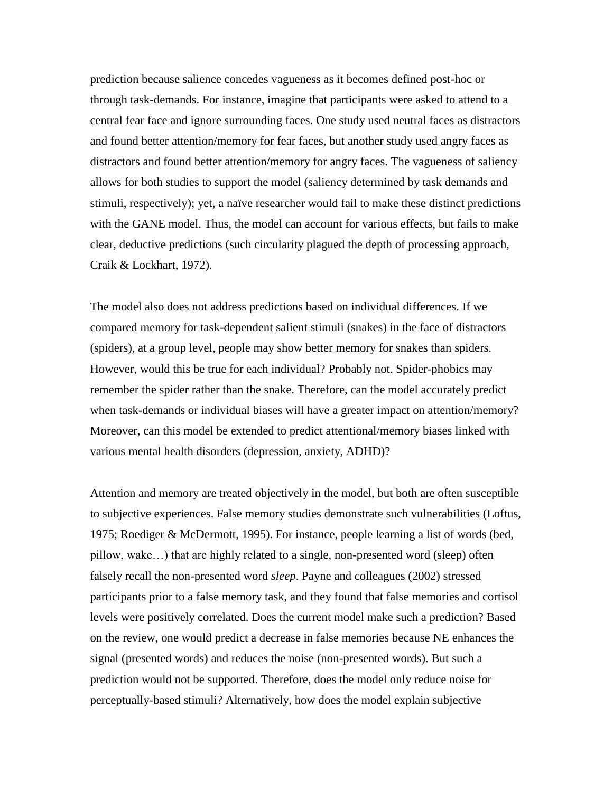prediction because salience concedes vagueness as it becomes defined post-hoc or through task-demands. For instance, imagine that participants were asked to attend to a central fear face and ignore surrounding faces. One study used neutral faces as distractors and found better attention/memory for fear faces, but another study used angry faces as distractors and found better attention/memory for angry faces. The vagueness of saliency allows for both studies to support the model (saliency determined by task demands and stimuli, respectively); yet, a naïve researcher would fail to make these distinct predictions with the GANE model. Thus, the model can account for various effects, but fails to make clear, deductive predictions (such circularity plagued the depth of processing approach, Craik & Lockhart, 1972).

The model also does not address predictions based on individual differences. If we compared memory for task-dependent salient stimuli (snakes) in the face of distractors (spiders), at a group level, people may show better memory for snakes than spiders. However, would this be true for each individual? Probably not. Spider-phobics may remember the spider rather than the snake. Therefore, can the model accurately predict when task-demands or individual biases will have a greater impact on attention/memory? Moreover, can this model be extended to predict attentional/memory biases linked with various mental health disorders (depression, anxiety, ADHD)?

Attention and memory are treated objectively in the model, but both are often susceptible to subjective experiences. False memory studies demonstrate such vulnerabilities (Loftus, 1975; Roediger & McDermott, 1995). For instance, people learning a list of words (bed, pillow, wake…) that are highly related to a single, non-presented word (sleep) often falsely recall the non-presented word *sleep*. Payne and colleagues (2002) stressed participants prior to a false memory task, and they found that false memories and cortisol levels were positively correlated. Does the current model make such a prediction? Based on the review, one would predict a decrease in false memories because NE enhances the signal (presented words) and reduces the noise (non-presented words). But such a prediction would not be supported. Therefore, does the model only reduce noise for perceptually-based stimuli? Alternatively, how does the model explain subjective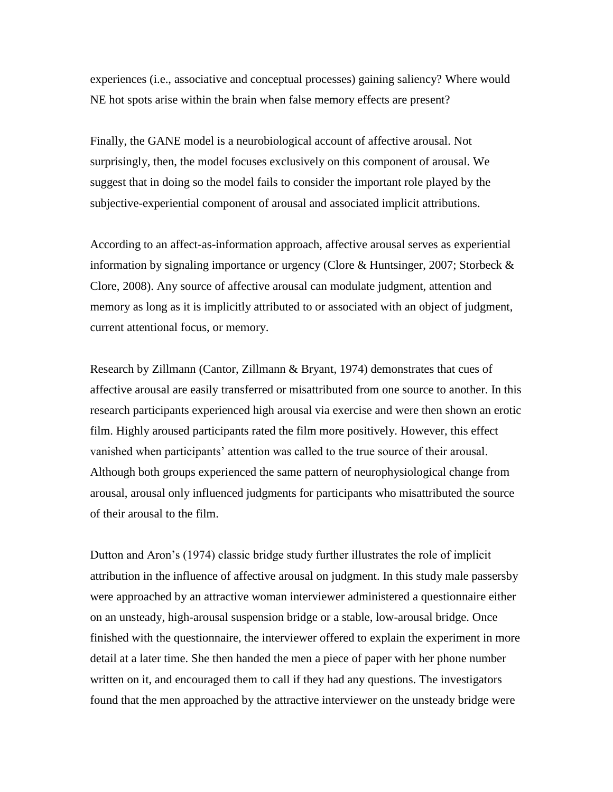experiences (i.e., associative and conceptual processes) gaining saliency? Where would NE hot spots arise within the brain when false memory effects are present?

Finally, the GANE model is a neurobiological account of affective arousal. Not surprisingly, then, the model focuses exclusively on this component of arousal. We suggest that in doing so the model fails to consider the important role played by the subjective-experiential component of arousal and associated implicit attributions.

According to an affect-as-information approach, affective arousal serves as experiential information by signaling importance or urgency (Clore & Huntsinger, 2007; Storbeck & Clore, 2008). Any source of affective arousal can modulate judgment, attention and memory as long as it is implicitly attributed to or associated with an object of judgment, current attentional focus, or memory.

Research by Zillmann (Cantor, Zillmann & Bryant, 1974) demonstrates that cues of affective arousal are easily transferred or misattributed from one source to another. In this research participants experienced high arousal via exercise and were then shown an erotic film. Highly aroused participants rated the film more positively. However, this effect vanished when participants' attention was called to the true source of their arousal. Although both groups experienced the same pattern of neurophysiological change from arousal, arousal only influenced judgments for participants who misattributed the source of their arousal to the film.

Dutton and Aron's (1974) classic bridge study further illustrates the role of implicit attribution in the influence of affective arousal on judgment. In this study male passersby were approached by an attractive woman interviewer administered a questionnaire either on an unsteady, high-arousal suspension bridge or a stable, low-arousal bridge. Once finished with the questionnaire, the interviewer offered to explain the experiment in more detail at a later time. She then handed the men a piece of paper with her phone number written on it, and encouraged them to call if they had any questions. The investigators found that the men approached by the attractive interviewer on the unsteady bridge were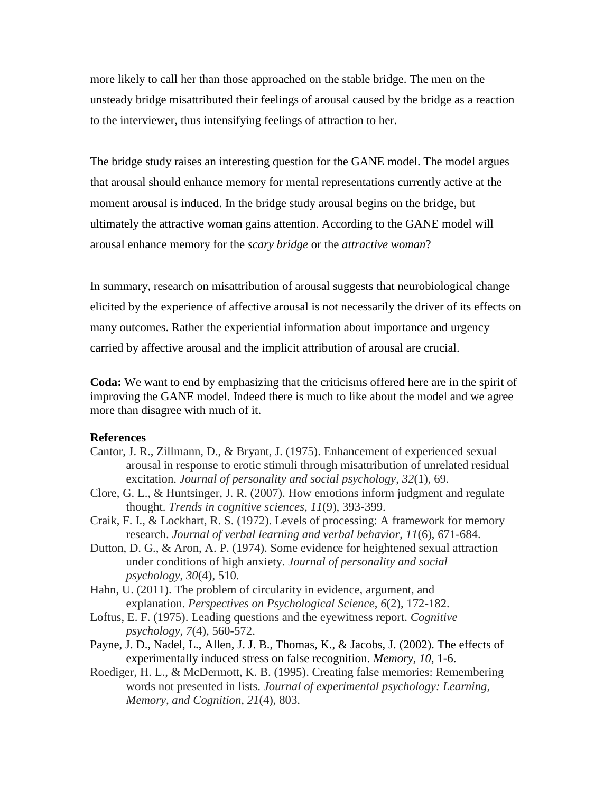more likely to call her than those approached on the stable bridge. The men on the unsteady bridge misattributed their feelings of arousal caused by the bridge as a reaction to the interviewer, thus intensifying feelings of attraction to her.

The bridge study raises an interesting question for the GANE model. The model argues that arousal should enhance memory for mental representations currently active at the moment arousal is induced. In the bridge study arousal begins on the bridge, but ultimately the attractive woman gains attention. According to the GANE model will arousal enhance memory for the *scary bridge* or the *attractive woman*?

In summary, research on misattribution of arousal suggests that neurobiological change elicited by the experience of affective arousal is not necessarily the driver of its effects on many outcomes. Rather the experiential information about importance and urgency carried by affective arousal and the implicit attribution of arousal are crucial.

**Coda:** We want to end by emphasizing that the criticisms offered here are in the spirit of improving the GANE model. Indeed there is much to like about the model and we agree more than disagree with much of it.

## **References**

- Cantor, J. R., Zillmann, D., & Bryant, J. (1975). Enhancement of experienced sexual arousal in response to erotic stimuli through misattribution of unrelated residual excitation. *Journal of personality and social psychology*, *32*(1), 69.
- Clore, G. L., & Huntsinger, J. R. (2007). How emotions inform judgment and regulate thought. *Trends in cognitive sciences*, *11*(9), 393-399.
- Craik, F. I., & Lockhart, R. S. (1972). Levels of processing: A framework for memory research. *Journal of verbal learning and verbal behavior*, *11*(6), 671-684.
- Dutton, D. G., & Aron, A. P. (1974). Some evidence for heightened sexual attraction under conditions of high anxiety. *Journal of personality and social psychology*, *30*(4), 510.
- Hahn, U. (2011). The problem of circularity in evidence, argument, and explanation. *Perspectives on Psychological Science*, *6*(2), 172-182.
- Loftus, E. F. (1975). Leading questions and the eyewitness report. *Cognitive psychology*, *7*(4), 560-572.
- Payne, J. D., Nadel, L., Allen, J. J. B., Thomas, K., & Jacobs, J. (2002). The effects of experimentally induced stress on false recognition. *Memory, 10*, 1-6.
- Roediger, H. L., & McDermott, K. B. (1995). Creating false memories: Remembering words not presented in lists. *Journal of experimental psychology: Learning, Memory, and Cognition*, *21*(4), 803.